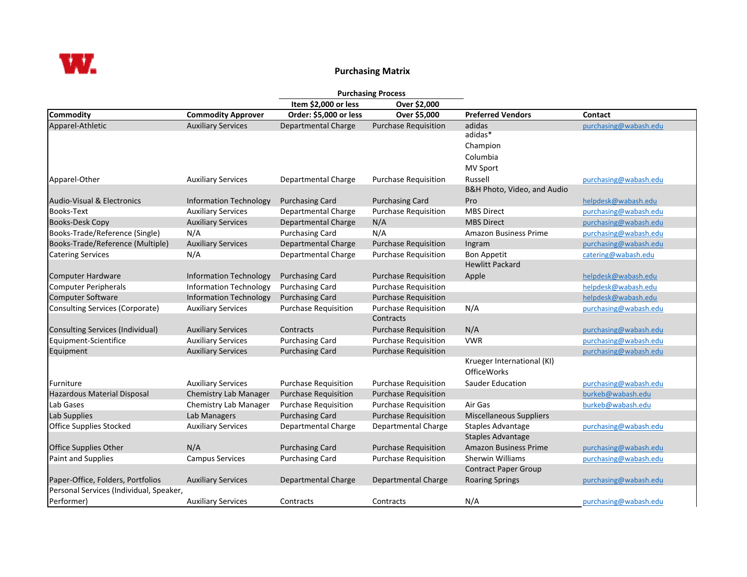

## **Purchasing Matrix**

|                                         |                               | <b>Purchasing Process</b>   |                             |                                |                       |
|-----------------------------------------|-------------------------------|-----------------------------|-----------------------------|--------------------------------|-----------------------|
|                                         |                               | Item \$2,000 or less        | Over \$2,000                |                                |                       |
| <b>Commodity</b>                        | <b>Commodity Approver</b>     | Order: \$5,000 or less      | Over \$5,000                | <b>Preferred Vendors</b>       | Contact               |
| Apparel-Athletic                        | <b>Auxiliary Services</b>     | Departmental Charge         | <b>Purchase Requisition</b> | adidas                         | purchasing@wabash.edu |
|                                         |                               |                             |                             | adidas*                        |                       |
|                                         |                               |                             |                             | Champion                       |                       |
|                                         |                               |                             |                             | Columbia                       |                       |
|                                         |                               |                             |                             | MV Sport                       |                       |
| Apparel-Other                           | <b>Auxiliary Services</b>     | Departmental Charge         | <b>Purchase Requisition</b> | Russell                        | purchasing@wabash.edu |
|                                         |                               |                             |                             | B&H Photo, Video, and Audio    |                       |
| Audio-Visual & Electronics              | <b>Information Technology</b> | <b>Purchasing Card</b>      | <b>Purchasing Card</b>      | Pro                            | helpdesk@wabash.edu   |
| <b>Books-Text</b>                       | <b>Auxiliary Services</b>     | Departmental Charge         | <b>Purchase Requisition</b> | <b>MBS Direct</b>              | purchasing@wabash.edu |
| <b>Books-Desk Copy</b>                  | <b>Auxiliary Services</b>     | Departmental Charge         | N/A                         | <b>MBS Direct</b>              | purchasing@wabash.edu |
| Books-Trade/Reference (Single)          | N/A                           | <b>Purchasing Card</b>      | N/A                         | <b>Amazon Business Prime</b>   | purchasing@wabash.edu |
| Books-Trade/Reference (Multiple)        | <b>Auxiliary Services</b>     | Departmental Charge         | <b>Purchase Requisition</b> | Ingram                         | purchasing@wabash.edu |
| <b>Catering Services</b>                | N/A                           | Departmental Charge         | <b>Purchase Requisition</b> | <b>Bon Appetit</b>             | catering@wabash.edu   |
|                                         |                               |                             |                             | <b>Hewlitt Packard</b>         |                       |
| Computer Hardware                       | <b>Information Technology</b> | <b>Purchasing Card</b>      | <b>Purchase Requisition</b> | Apple                          | helpdesk@wabash.edu   |
| <b>Computer Peripherals</b>             | <b>Information Technology</b> | <b>Purchasing Card</b>      | <b>Purchase Requisition</b> |                                | helpdesk@wabash.edu   |
| <b>Computer Software</b>                | <b>Information Technology</b> | <b>Purchasing Card</b>      | <b>Purchase Requisition</b> |                                | helpdesk@wabash.edu   |
| Consulting Services (Corporate)         | <b>Auxiliary Services</b>     | <b>Purchase Requisition</b> | <b>Purchase Requisition</b> | N/A                            | purchasing@wabash.edu |
|                                         |                               |                             | Contracts                   |                                |                       |
| Consulting Services (Individual)        | <b>Auxiliary Services</b>     | Contracts                   | <b>Purchase Requisition</b> | N/A                            | purchasing@wabash.edu |
| Equipment-Scientifice                   | <b>Auxiliary Services</b>     | <b>Purchasing Card</b>      | <b>Purchase Requisition</b> | <b>VWR</b>                     | purchasing@wabash.edu |
| Equipment                               | <b>Auxiliary Services</b>     | <b>Purchasing Card</b>      | <b>Purchase Requisition</b> |                                | purchasing@wabash.edu |
|                                         |                               |                             |                             | Krueger International (KI)     |                       |
|                                         |                               |                             |                             | <b>OfficeWorks</b>             |                       |
| Furniture                               | <b>Auxiliary Services</b>     | <b>Purchase Requisition</b> | <b>Purchase Requisition</b> | Sauder Education               | purchasing@wabash.edu |
| <b>Hazardous Material Disposal</b>      | Chemistry Lab Manager         | <b>Purchase Requisition</b> | <b>Purchase Requisition</b> |                                | burkeb@wabash.edu     |
| Lab Gases                               | Chemistry Lab Manager         | <b>Purchase Requisition</b> | <b>Purchase Requisition</b> | Air Gas                        | burkeb@wabash.edu     |
| Lab Supplies                            | Lab Managers                  | <b>Purchasing Card</b>      | <b>Purchase Requisition</b> | <b>Miscellaneous Suppliers</b> |                       |
| Office Supplies Stocked                 | <b>Auxiliary Services</b>     | Departmental Charge         | Departmental Charge         | <b>Staples Advantage</b>       | purchasing@wabash.edu |
|                                         |                               |                             |                             | <b>Staples Advantage</b>       |                       |
| Office Supplies Other                   | N/A                           | <b>Purchasing Card</b>      | <b>Purchase Requisition</b> | <b>Amazon Business Prime</b>   | purchasing@wabash.edu |
| <b>Paint and Supplies</b>               | <b>Campus Services</b>        | <b>Purchasing Card</b>      | <b>Purchase Requisition</b> | <b>Sherwin Williams</b>        | purchasing@wabash.edu |
|                                         |                               |                             |                             | <b>Contract Paper Group</b>    |                       |
| Paper-Office, Folders, Portfolios       | <b>Auxiliary Services</b>     | Departmental Charge         | Departmental Charge         | <b>Roaring Springs</b>         | purchasing@wabash.edu |
| Personal Services (Individual, Speaker, |                               |                             |                             |                                |                       |
| Performer)                              | <b>Auxiliary Services</b>     | Contracts                   | Contracts                   | N/A                            | purchasing@wabash.edu |